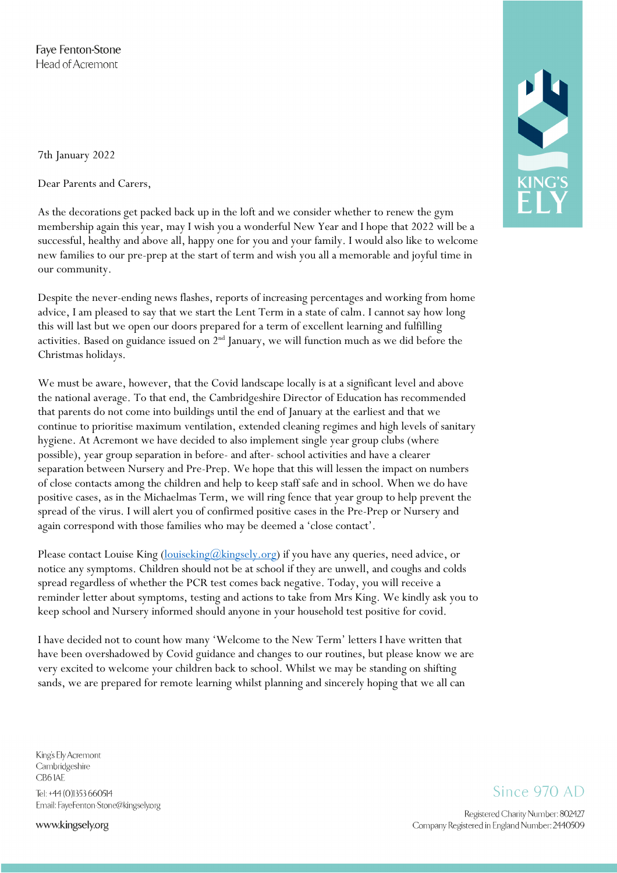Faye Fenton-Stone Head of Acremont

7th January 2022

Dear Parents and Carers,

As the decorations get packed back up in the loft and we consider whether to renew the gym membership again this year, may I wish you a wonderful New Year and I hope that 2022 will be a successful, healthy and above all, happy one for you and your family. I would also like to welcome new families to our pre-prep at the start of term and wish you all a memorable and joyful time in our community.

Despite the never-ending news flashes, reports of increasing percentages and working from home advice, I am pleased to say that we start the Lent Term in a state of calm. I cannot say how long this will last but we open our doors prepared for a term of excellent learning and fulfilling activities. Based on guidance issued on 2<sup>nd</sup> January, we will function much as we did before the Christmas holidays.

We must be aware, however, that the Covid landscape locally is at a significant level and above the national average. To that end, the Cambridgeshire Director of Education has recommended that parents do not come into buildings until the end of January at the earliest and that we continue to prioritise maximum ventilation, extended cleaning regimes and high levels of sanitary hygiene. At Acremont we have decided to also implement single year group clubs (where possible), year group separation in before- and after- school activities and have a clearer separation between Nursery and Pre-Prep. We hope that this will lessen the impact on numbers of close contacts among the children and help to keep staff safe and in school. When we do have positive cases, as in the Michaelmas Term, we will ring fence that year group to help prevent the spread of the virus. I will alert you of confirmed positive cases in the Pre-Prep or Nursery and again correspond with those families who may be deemed a 'close contact'.

Please contact Louise King  $\langle$  [*louiseking* $\langle x \rangle$ *kingsely.org*) if you have any queries, need advice, or notice any symptoms. Children should not be at school if they are unwell, and coughs and colds spread regardless of whether the PCR test comes back negative. Today, you will receive a reminder letter about symptoms, testing and actions to take from Mrs King. We kindly ask you to keep school and Nursery informed should anyone in your household test positive for covid.

I have decided not to count how many 'Welcome to the New Term' letters I have written that have been overshadowed by Covid guidance and changes to our routines, but please know we are very excited to welcome your children back to school. Whilst we may be standing on shifting sands, we are prepared for remote learning whilst planning and sincerely hoping that we all can

King's Ely Acremont Cambridgeshire CB61AE

Tel: +44 (0)1353 660514 Email: FayeFenton-Stone@kingsely.org

www.kingsely.org



## Since 970 AD

Registered Charity Number: 802427 Company Registered in England Number: 2440509